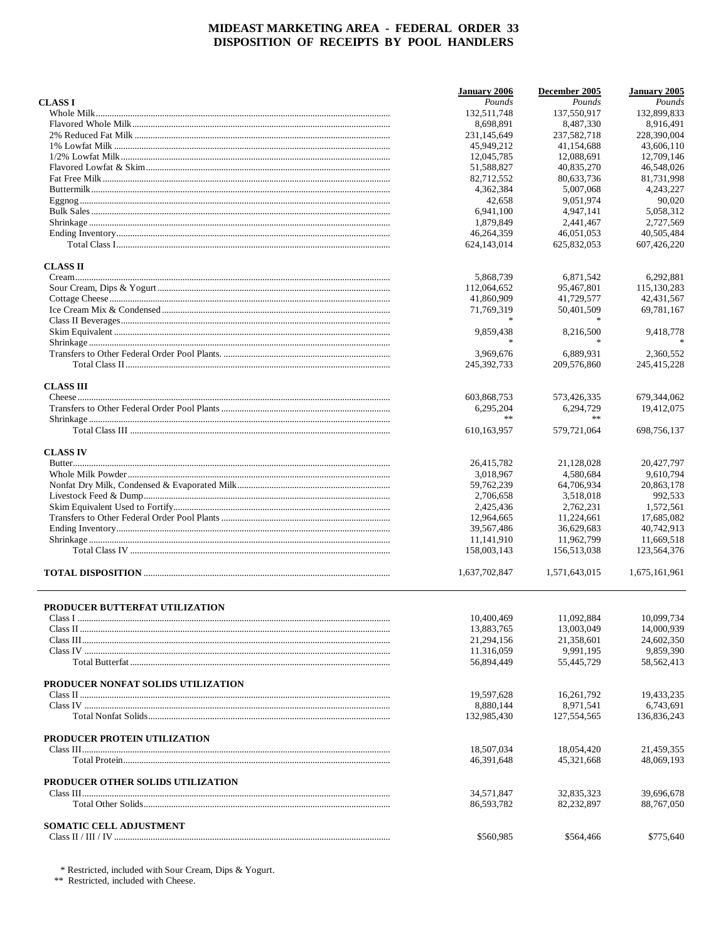|                                    | <b>January 2006</b>      | December 2005            | January 2005             |
|------------------------------------|--------------------------|--------------------------|--------------------------|
| <b>CLASSI</b>                      | Pounds                   | Pounds                   | Pounds                   |
|                                    | 132,511,748              | 137,550,917              | 132,899,833              |
|                                    | 8.698.891                | 8,487,330                | 8,916,491                |
|                                    | 231,145,649              | 237,582,718              | 228,390,004              |
|                                    | 45,949,212               | 41,154,688               | 43,606,110               |
|                                    | 12,045,785               | 12,088,691               | 12,709,146               |
|                                    | 51,588,827               | 40,835,270               | 46,548,026               |
|                                    | 82,712,552               | 80,633,736               | 81,731,998               |
|                                    | 4,362,384                | 5,007,068                | 4,243,227                |
|                                    | 42,658                   | 9,051,974                | 90,020                   |
|                                    | 6,941,100                | 4,947,141                | 5.058.312                |
|                                    | 1,879,849                | 2,441,467                | 2,727,569                |
|                                    | 46,264,359               | 46,051,053               | 40,505,484               |
|                                    | 624,143,014              | 625,832,053              | 607,426,220              |
| <b>CLASS II</b>                    |                          |                          |                          |
|                                    | 5,868,739                | 6,871,542                | 6,292,881                |
|                                    | 112,064,652              | 95,467,801               | 115,130,283              |
|                                    | 41,860,909               | 41,729,577               | 42, 431, 567             |
|                                    | 71,769,319               | 50,401,509               | 69,781,167               |
|                                    |                          |                          |                          |
|                                    | 9,859,438                | 8,216,500                | 9,418,778                |
|                                    | $\ast$                   |                          |                          |
|                                    | 3,969,676                | 6.889.931                | 2,360,552                |
|                                    | 245, 392, 733            | 209,576,860              | 245,415,228              |
|                                    |                          |                          |                          |
| <b>CLASS III</b>                   |                          |                          |                          |
|                                    | 603,868,753              | 573,426,335              | 679,344,062              |
|                                    | 6,295,204<br>**          | 6,294,729<br>$\ast$      | 19,412,075               |
|                                    | 610,163,957              | 579,721,064              | 698,756,137              |
| <b>CLASS IV</b>                    |                          |                          |                          |
|                                    | 26,415,782               | 21,128,028               | 20,427,797               |
|                                    | 3,018,967                | 4,580,684                | 9,610,794                |
|                                    | 59,762,239               | 64,706,934               | 20,863,178               |
|                                    | 2,706,658                | 3,518,018                | 992,533                  |
|                                    | 2,425,436                | 2,762,231                | 1,572,561                |
|                                    | 12,964,665               | 11,224,661               | 17,685,082               |
|                                    | 39,567,486               | 36,629,683               | 40,742,913               |
|                                    | 11,141,910               | 11,962,799               | 11,669,518               |
|                                    | 158,003,143              | 156,513,038              | 123,564,376              |
|                                    | 1.637.702.847            | 1,571,643,015            | 1.675.161.961            |
|                                    |                          |                          |                          |
| PRODUCER BUTTERFAT UTILIZATION     |                          | 11,092,884               | 10,099,734               |
|                                    | 10,400,469               |                          |                          |
|                                    | 13,883,765<br>21,294,156 | 13,003,049<br>21,358,601 | 14,000,939<br>24,602,350 |
|                                    | 11.316,059               | 9,991,195                | 9,859,390                |
|                                    | 56,894,449               | 55,445,729               | 58, 562, 413             |
|                                    |                          |                          |                          |
| PRODUCER NONFAT SOLIDS UTILIZATION |                          |                          |                          |
|                                    | 19,597,628               | 16,261,792               | 19,433,235               |
|                                    | 8,880,144                | 8,971,541                | 6,743,691                |
|                                    | 132,985,430              | 127,554,565              | 136,836,243              |
| PRODUCER PROTEIN UTILIZATION       |                          |                          |                          |
|                                    | 18,507,034               | 18,054,420               | 21,459,355               |
|                                    | 46,391,648               | 45,321,668               | 48,069,193               |
| PRODUCER OTHER SOLIDS UTILIZATION  |                          |                          |                          |
|                                    | 34,571,847               | 32,835,323               | 39,696,678               |
|                                    | 86,593,782               | 82,232,897               | 88,767,050               |
| SOMATIC CELL ADJUSTMENT            |                          |                          |                          |
|                                    | \$560,985                | \$564,466                | \$775,640                |

 $^\ast$  Restricted, included with Sour Cream, Dips & Yogurt.  $^{\ast\ast}$  Restricted, included with Cheese.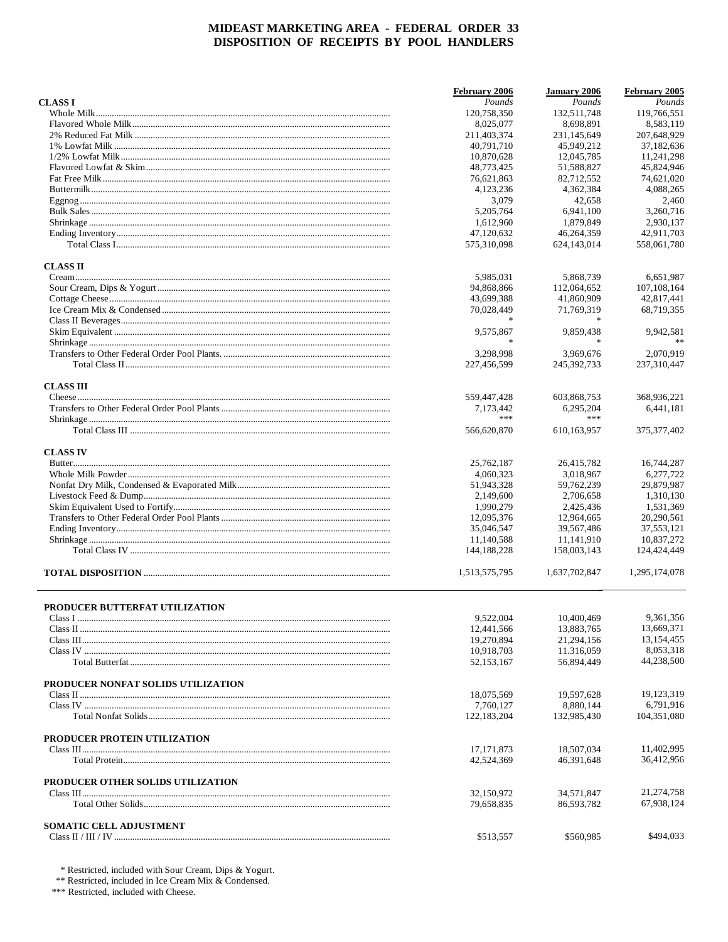|                                    | February 2006 | <b>January 2006</b> | February 2005           |
|------------------------------------|---------------|---------------------|-------------------------|
| <b>CLASSI</b>                      | Pounds        | Pounds              | Pounds                  |
|                                    | 120,758,350   | 132,511,748         | 119,766,551             |
|                                    | 8,025,077     | 8.698.891           | 8,583,119               |
|                                    | 211,403,374   | 231,145,649         | 207,648,929             |
|                                    | 40,791,710    | 45,949,212          | 37,182,636              |
|                                    | 10,870,628    | 12,045,785          | 11,241,298              |
|                                    | 48,773,425    | 51,588,827          | 45,824,946              |
|                                    | 76,621,863    | 82,712,552          | 74,621,020              |
|                                    | 4,123,236     | 4,362,384           | 4,088,265               |
|                                    | 3,079         | 42,658              | 2,460                   |
|                                    | 5,205,764     | 6,941,100           | 3,260,716               |
|                                    | 1,612,960     | 1.879.849           | 2,930,137               |
|                                    | 47,120,632    | 46,264,359          | 42,911,703              |
|                                    | 575,310,098   | 624,143,014         | 558,061,780             |
| <b>CLASS II</b>                    |               |                     |                         |
|                                    | 5,985,031     | 5,868,739           | 6,651,987               |
|                                    | 94,868,866    | 112,064,652         | 107,108,164             |
|                                    | 43,699,388    | 41,860,909          | 42,817,441              |
|                                    | 70,028,449    | 71,769,319          | 68,719,355              |
|                                    |               |                     |                         |
|                                    | 9,575,867     | 9,859,438           | 9,942,581               |
|                                    | $\ast$        | $\mathbf{x}$        |                         |
|                                    | 3,298,998     | 3,969,676           | 2,070,919               |
|                                    | 227,456,599   | 245, 392, 733       | 237,310,447             |
|                                    |               |                     |                         |
| <b>CLASS III</b>                   | 559,447,428   | 603,868,753         | 368,936,221             |
|                                    | 7,173,442     | 6,295,204           | 6,441,181               |
|                                    | ***           | ***                 |                         |
|                                    | 566,620,870   | 610,163,957         | 375, 377, 402           |
| <b>CLASS IV</b>                    |               |                     |                         |
|                                    | 25,762,187    | 26,415,782          | 16,744,287              |
|                                    | 4,060,323     | 3,018,967           | 6,277,722               |
|                                    | 51,943,328    | 59,762,239          | 29,879,987              |
|                                    |               |                     |                         |
|                                    | 2,149,600     | 2,706,658           | 1,310,130               |
|                                    | 1,990,279     | 2,425,436           | 1,531,369               |
|                                    | 12,095,376    | 12,964,665          | 20,290,561              |
|                                    | 35,046,547    | 39,567,486          | 37,553,121              |
|                                    | 11,140,588    | 11,141,910          | 10,837,272              |
|                                    | 144,188,228   | 158,003,143         | 124,424,449             |
|                                    | 1,513,575,795 | 1,637,702,847       | 1,295,174,078           |
| PRODUCER BUTTERFAT UTILIZATION     |               |                     |                         |
|                                    | 9,522,004     | 10,400,469          | 9,361,356               |
|                                    |               |                     | 13,669,371              |
|                                    | 12,441,566    | 13,883,765          |                         |
|                                    | 19,270,894    | 21,294,156          | 13,154,455<br>8,053,318 |
|                                    | 10,918,703    | 11.316,059          |                         |
|                                    | 52,153,167    | 56,894,449          | 44,238,500              |
| PRODUCER NONFAT SOLIDS UTILIZATION |               |                     |                         |
|                                    | 18,075,569    | 19,597,628          | 19,123,319              |
|                                    | 7,760,127     | 8,880,144           | 6,791,916               |
|                                    | 122,183,204   | 132,985,430         | 104,351,080             |
| PRODUCER PROTEIN UTILIZATION       |               |                     |                         |
|                                    | 17, 171, 873  | 18,507,034          | 11,402,995              |
|                                    | 42.524.369    | 46,391,648          | 36,412,956              |
| PRODUCER OTHER SOLIDS UTILIZATION  |               |                     |                         |
|                                    | 32,150,972    | 34,571,847          | 21,274,758              |
|                                    | 79,658,835    | 86,593,782          | 67,938,124              |
| SOMATIC CELL ADJUSTMENT            |               |                     |                         |
|                                    | \$513,557     | \$560,985           | \$494,033               |

 $*$  Restricted, included with Sour Cream, Dips & Yogurt.<br>  $**$  Restricted, included in Ice Cream Mix & Condensed.<br>  $***$  Restricted, included with Cheese.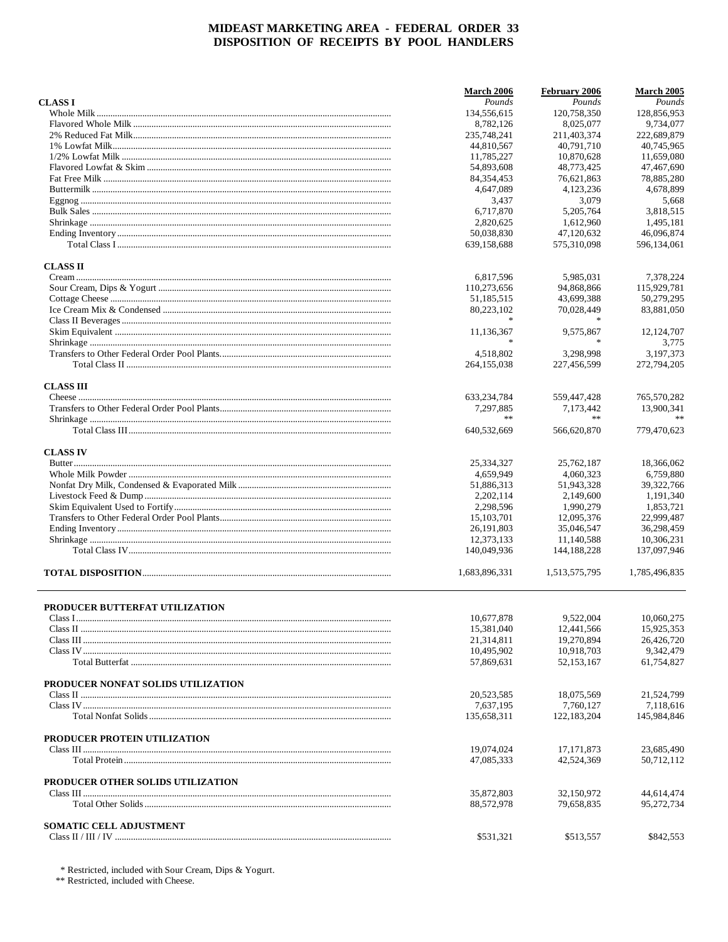|                                    | <b>March 2006</b>        | February 2006             | March 2005               |
|------------------------------------|--------------------------|---------------------------|--------------------------|
| <b>CLASSI</b>                      | Pounds                   | Pounds                    | Pounds                   |
|                                    | 134,556,615              | 120,758,350               | 128,856,953              |
|                                    | 8,782,126                | 8,025,077                 | 9,734,077                |
|                                    | 235,748,241              | 211,403,374               | 222,689,879              |
|                                    | 44,810,567               | 40,791,710                | 40.745.965               |
|                                    | 11,785,227               | 10,870,628                | 11,659,080               |
|                                    | 54,893,608               | 48,773,425                | 47,467,690               |
|                                    | 84, 354, 453             | 76,621,863                | 78,885,280               |
|                                    | 4,647,089                | 4,123,236                 | 4,678,899                |
|                                    | 3,437                    | 3,079                     | 5,668                    |
|                                    | 6,717,870                | 5,205,764                 | 3,818,515                |
|                                    | 2,820,625<br>50,038,830  | 1,612,960                 | 1,495,181<br>46,096,874  |
|                                    | 639,158,688              | 47,120,632<br>575,310,098 | 596,134,061              |
| <b>CLASS II</b>                    |                          |                           |                          |
|                                    | 6,817,596                | 5,985,031                 | 7,378,224                |
|                                    | 110,273,656              | 94,868,866                | 115,929,781              |
|                                    | 51,185,515               | 43,699,388                | 50,279,295               |
|                                    | 80,223,102               | 70,028,449                | 83,881,050               |
|                                    |                          |                           |                          |
|                                    | 11,136,367               | 9,575,867                 | 12, 124, 707             |
|                                    | $\ast$                   | $\ast$                    | 3,775                    |
|                                    | 4,518,802                | 3.298.998                 | 3.197.373                |
|                                    | 264, 155, 038            | 227,456,599               | 272,794,205              |
| <b>CLASS III</b>                   |                          |                           |                          |
|                                    | 633,234,784              | 559,447,428               | 765,570,282              |
|                                    | 7,297,885<br>**          | 7,173,442<br>$\ast$       | 13,900,341               |
|                                    | 640,532,669              | 566,620,870               | 779,470,623              |
| <b>CLASS IV</b>                    |                          |                           |                          |
|                                    | 25,334,327               | 25,762,187                | 18,366,062               |
|                                    | 4,659,949                | 4,060,323                 | 6,759,880                |
|                                    | 51,886,313               | 51,943,328                | 39,322,766               |
|                                    | 2,202,114                | 2,149,600                 | 1,191,340                |
|                                    | 2,298,596                | 1,990,279                 | 1,853,721                |
|                                    | 15,103,701<br>26,191,803 | 12,095,376                | 22,999,487<br>36,298,459 |
|                                    | 12,373,133               | 35,046,547                | 10,306,231               |
|                                    |                          | 11,140,588                | 137,097,946              |
|                                    | 140,049,936              | 144, 188, 228             |                          |
|                                    | 1,683,896,331            | 1,513,575,795             | 1,785,496,835            |
| PRODUCER BUTTERFAT UTILIZATION     |                          |                           |                          |
|                                    | 10,677,878               | 9,522,004                 | 10,060,275               |
|                                    | 15,381,040               | 12,441,566                | 15.925.353               |
|                                    | 21,314,811               | 19,270,894                | 26,426,720               |
|                                    | 10,495,902               | 10,918,703                | 9,342,479                |
|                                    | 57,869,631               | 52, 153, 167              | 61,754,827               |
| PRODUCER NONFAT SOLIDS UTILIZATION |                          |                           |                          |
|                                    | 20,523,585               | 18,075,569                | 21,524,799               |
|                                    | 7,637,195                | 7,760,127                 | 7,118,616                |
|                                    | 135,658,311              | 122, 183, 204             | 145,984,846              |
| PRODUCER PROTEIN UTILIZATION       |                          |                           |                          |
|                                    | 19,074,024               | 17, 171, 873              | 23,685,490               |
|                                    | 47,085,333               | 42,524,369                | 50,712,112               |
| PRODUCER OTHER SOLIDS UTILIZATION  |                          |                           |                          |
|                                    | 35,872,803<br>88,572,978 | 32,150,972<br>79,658,835  | 44,614,474<br>95,272,734 |
|                                    |                          |                           |                          |
| SOMATIC CELL ADJUSTMENT            | \$531,321                | \$513,557                 | \$842,553                |
|                                    |                          |                           |                          |

 $^\ast$  Restricted, included with Sour Cream, Dips & Yogurt.  $^{\ast\ast}$  Restricted, included with Cheese.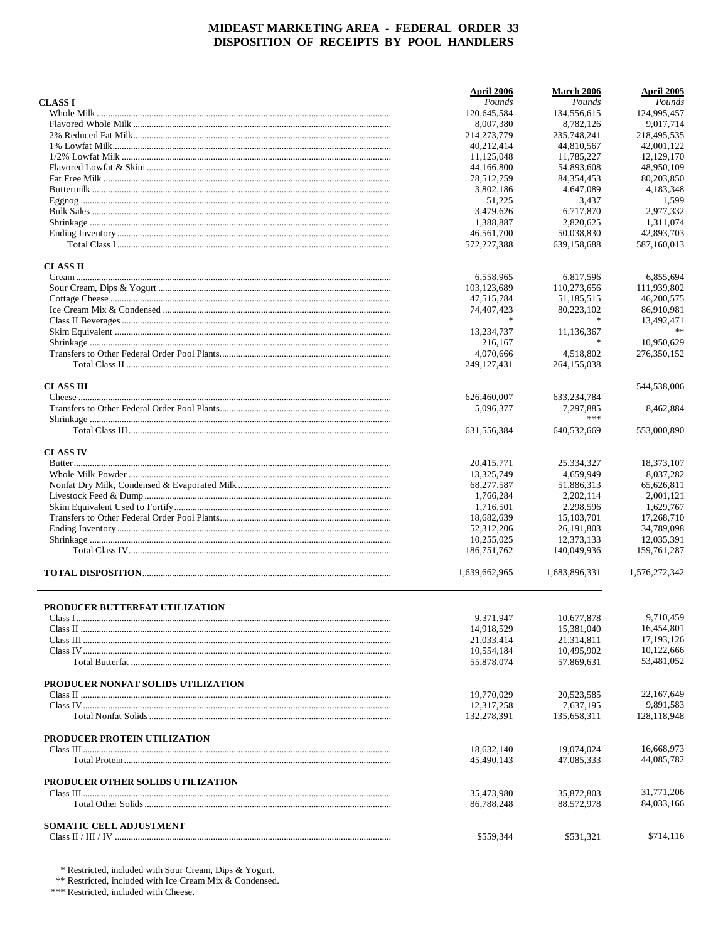|                                    | April 2006    | <b>March 2006</b> | April 2005    |
|------------------------------------|---------------|-------------------|---------------|
| <b>CLASS I</b>                     | Pounds        | Pounds            | Pounds        |
|                                    | 120,645,584   | 134,556,615       | 124,995,457   |
|                                    | 8,007,380     | 8,782,126         | 9,017,714     |
|                                    | 214,273,779   | 235,748,241       | 218,495,535   |
|                                    | 40,212,414    | 44,810,567        | 42,001,122    |
|                                    | 11,125,048    | 11,785,227        | 12,129,170    |
|                                    |               |                   |               |
|                                    | 44,166,800    | 54,893,608        | 48,950,109    |
|                                    | 78,512,759    | 84, 354, 453      | 80,203,850    |
|                                    | 3,802,186     | 4,647,089         | 4,183,348     |
|                                    | 51,225        | 3,437             | 1,599         |
|                                    | 3,479,626     | 6,717,870         | 2,977,332     |
|                                    | 1,388,887     | 2,820,625         | 1,311,074     |
|                                    | 46,561,700    | 50,038,830        | 42,893,703    |
|                                    | 572,227,388   | 639,158,688       | 587,160,013   |
| <b>CLASS II</b>                    |               |                   |               |
|                                    | 6,558,965     | 6,817,596         | 6,855,694     |
|                                    | 103,123,689   | 110,273,656       | 111,939,802   |
|                                    |               |                   |               |
|                                    | 47,515,784    | 51,185,515        | 46,200,575    |
|                                    | 74,407,423    | 80,223,102        | 86,910,981    |
|                                    |               |                   | 13,492,471    |
|                                    | 13,234,737    | 11,136,367        | %             |
|                                    | 216,167       | $\ast$            | 10,950,629    |
|                                    | 4,070,666     | 4,518,802         | 276,350,152   |
|                                    | 249, 127, 431 | 264, 155, 038     |               |
| <b>CLASS III</b>                   |               |                   | 544,538,006   |
|                                    | 626,460,007   | 633, 234, 784     |               |
|                                    | 5,096,377     | 7,297,885         | 8,462,884     |
|                                    |               | ***               |               |
|                                    | 631,556,384   | 640,532,669       | 553,000,890   |
| <b>CLASS IV</b>                    |               |                   |               |
|                                    | 20,415,771    | 25,334,327        | 18,373,107    |
|                                    |               |                   |               |
|                                    | 13,325,749    | 4,659,949         | 8,037,282     |
|                                    | 68,277,587    | 51,886,313        | 65,626,811    |
|                                    | 1,766,284     | 2,202,114         | 2,001,121     |
|                                    | 1,716,501     | 2,298,596         | 1,629,767     |
|                                    | 18,682,639    | 15, 103, 701      | 17,268,710    |
|                                    | 52,312,206    | 26, 191, 803      | 34,789,098    |
|                                    | 10,255,025    | 12,373,133        | 12,035,391    |
|                                    | 186, 751, 762 | 140,049,936       | 159,761,287   |
|                                    | 1,639,662,965 | 1,683,896,331     | 1,576,272,342 |
|                                    |               |                   |               |
| PRODUCER BUTTERFAT UTILIZATION     | 9,371,947     | 10,677,878        | 9,710,459     |
|                                    |               |                   | 16,454,801    |
|                                    | 14,918,529    | 15,381,040        |               |
|                                    | 21,033,414    | 21,314,811        | 17, 193, 126  |
|                                    | 10,554,184    | 10,495,902        | 10.122.666    |
|                                    | 55,878,074    | 57,869,631        | 53,481,052    |
| PRODUCER NONFAT SOLIDS UTILIZATION |               |                   |               |
|                                    | 19,770,029    | 20,523,585        | 22, 167, 649  |
|                                    | 12,317,258    | 7,637,195         | 9.891.583     |
|                                    | 132,278,391   | 135,658,311       | 128, 118, 948 |
| PRODUCER PROTEIN UTILIZATION       |               |                   |               |
|                                    | 18,632,140    | 19,074,024        | 16,668,973    |
|                                    | 45,490,143    | 47,085,333        | 44,085,782    |
| PRODUCER OTHER SOLIDS UTILIZATION  |               |                   |               |
|                                    | 35,473,980    | 35,872,803        | 31,771,206    |
|                                    | 86,788,248    | 88,572,978        | 84,033,166    |
| <b>SOMATIC CELL ADJUSTMENT</b>     |               |                   |               |
|                                    | \$559,344     | \$531,321         | \$714,116     |
|                                    |               |                   |               |

\* Restricted, included with Sour Cream, Dips & Yogurt.<br>\*\* Restricted, included with Ice Cream Mix & Condensed.<br>\*\*\* Restricted, included with Cheese.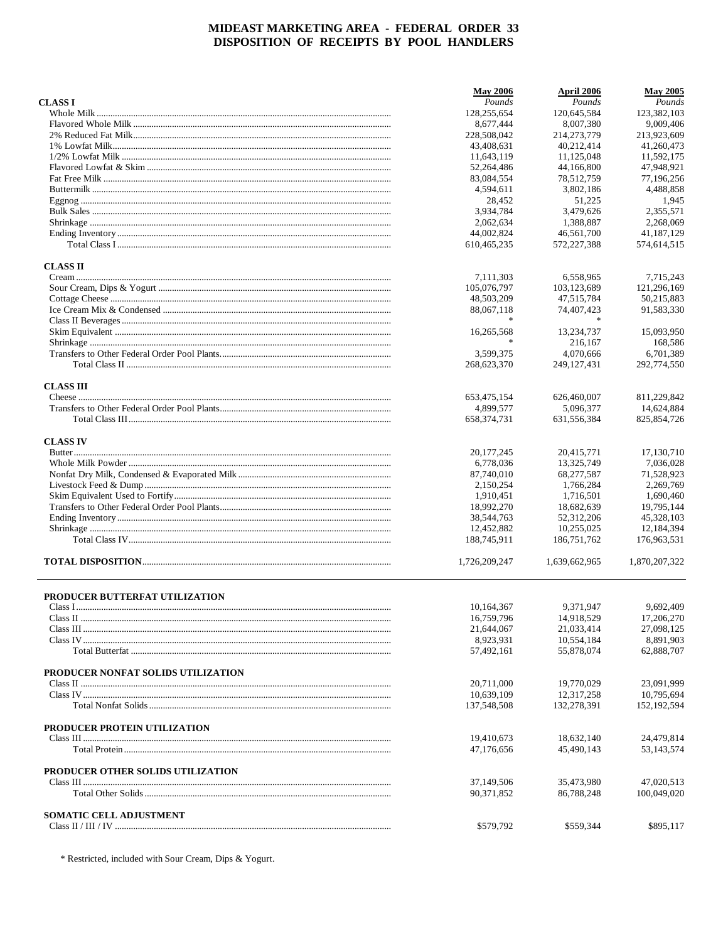|                                    | <b>May 2006</b> | April 2006    | <b>May 2005</b> |
|------------------------------------|-----------------|---------------|-----------------|
| <b>CLASS I</b>                     | Pounds          | Pounds        | Pounds          |
|                                    | 128,255,654     | 120,645,584   | 123,382,103     |
|                                    | 8.677.444       | 8.007.380     | 9,009,406       |
|                                    | 228,508,042     | 214, 273, 779 | 213,923,609     |
|                                    | 43,408,631      | 40,212,414    | 41,260,473      |
|                                    | 11,643,119      | 11,125,048    | 11,592,175      |
|                                    | 52,264,486      | 44,166,800    | 47,948,921      |
|                                    | 83,084,554      | 78,512,759    | 77,196,256      |
|                                    | 4,594,611       | 3,802,186     | 4,488,858       |
|                                    | 28,452          | 51,225        | 1,945           |
|                                    | 3,934,784       | 3,479,626     | 2,355,571       |
|                                    | 2,062,634       | 1.388.887     | 2,268,069       |
|                                    | 44,002,824      | 46.561.700    | 41,187,129      |
|                                    | 610,465,235     | 572,227,388   | 574,614,515     |
| <b>CLASS II</b>                    |                 |               |                 |
|                                    | 7,111,303       | 6,558,965     | 7,715,243       |
|                                    | 105,076,797     | 103,123,689   | 121,296,169     |
|                                    | 48,503,209      | 47,515,784    | 50,215,883      |
|                                    | 88,067,118      | 74,407,423    | 91,583,330      |
|                                    |                 |               |                 |
|                                    | 16,265,568      | 13,234,737    | 15,093,950      |
|                                    | $\ast$          | 216,167       | 168,586         |
|                                    | 3,599,375       | 4,070,666     | 6,701,389       |
|                                    | 268,623,370     | 249, 127, 431 | 292,774,550     |
| <b>CLASS III</b>                   |                 |               |                 |
|                                    | 653,475,154     | 626,460,007   | 811,229,842     |
|                                    | 4,899,577       | 5,096,377     | 14,624,884      |
|                                    | 658, 374, 731   | 631,556,384   | 825, 854, 726   |
| <b>CLASS IV</b>                    |                 |               |                 |
|                                    | 20, 177, 245    | 20,415,771    | 17,130,710      |
|                                    | 6,778,036       | 13,325,749    | 7,036,028       |
|                                    | 87,740,010      | 68,277,587    | 71,528,923      |
|                                    | 2,150,254       | 1,766,284     | 2,269,769       |
|                                    | 1,910,451       | 1,716,501     | 1,690,460       |
|                                    | 18,992,270      | 18,682,639    | 19,795,144      |
|                                    | 38,544,763      | 52,312,206    | 45,328,103      |
|                                    | 12,452,882      | 10,255,025    | 12,184,394      |
|                                    | 188,745,911     | 186,751,762   | 176,963,531     |
|                                    | 1,726,209,247   | 1,639,662,965 | 1,870,207,322   |
| PRODUCER BUTTERFAT UTILIZATION     |                 |               |                 |
|                                    | 10,164,367      | 9,371,947     | 9,692,409       |
|                                    | 16,759,796      | 14,918,529    | 17,206,270      |
|                                    | 21,644,067      | 21,033,414    | 27.098.125      |
|                                    | 8,923,931       | 10,554,184    | 8,891,903       |
|                                    | 57,492,161      | 55,878,074    | 62,888,707      |
| PRODUCER NONFAT SOLIDS UTILIZATION |                 |               |                 |
|                                    | 20,711,000      | 19,770,029    | 23,091,999      |
|                                    | 10,639,109      | 12,317,258    | 10,795,694      |
|                                    | 137,548,508     | 132,278,391   | 152, 192, 594   |
| PRODUCER PROTEIN UTILIZATION       |                 |               |                 |
|                                    | 19,410,673      | 18,632,140    | 24,479,814      |
|                                    | 47,176,656      | 45,490,143    | 53,143,574      |
| PRODUCER OTHER SOLIDS UTILIZATION  |                 |               |                 |
|                                    | 37,149,506      | 35,473,980    | 47,020,513      |
|                                    | 90,371,852      | 86,788,248    | 100,049,020     |
| SOMATIC CELL ADJUSTMENT            |                 |               |                 |
|                                    | \$579,792       | \$559,344     | \$895,117       |

\* Restricted, included with Sour Cream, Dips & Yogurt.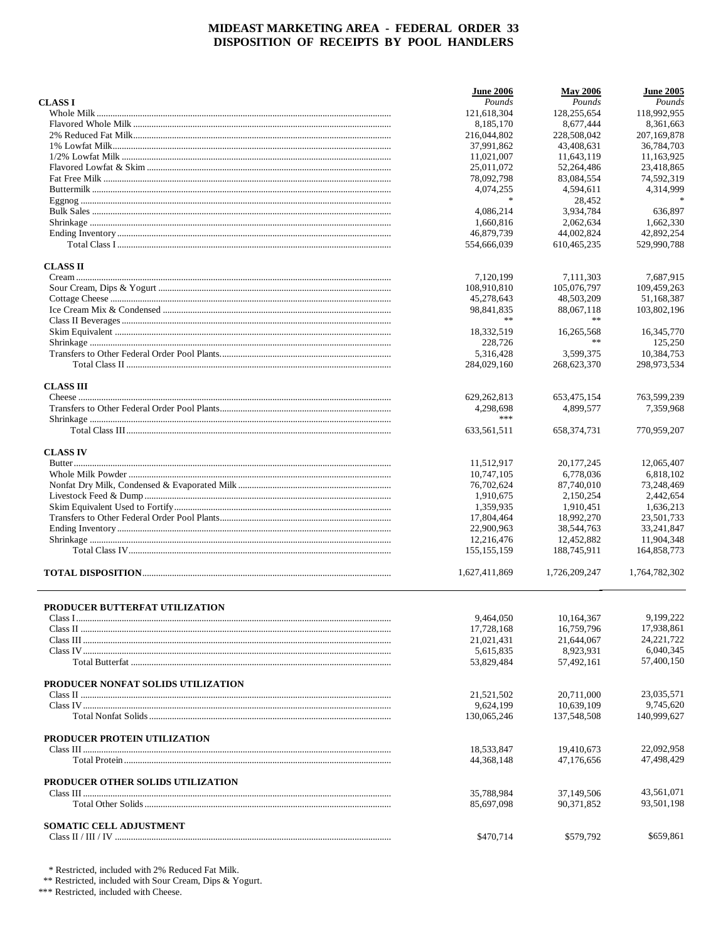|                                    | <b>June 2006</b>         | <b>May 2006</b>          | <b>June 2005</b> |
|------------------------------------|--------------------------|--------------------------|------------------|
| <b>CLASSI</b>                      | Pounds                   | Pounds                   | Pounds           |
|                                    | 121,618,304              | 128,255,654              | 118,992,955      |
|                                    | 8,185,170                | 8,677,444                | 8,361,663        |
|                                    | 216,044,802              | 228,508,042              | 207,169,878      |
|                                    | 37,991,862               | 43,408,631               | 36,784,703       |
|                                    | 11,021,007               | 11,643,119               | 11,163,925       |
|                                    | 25,011,072               | 52,264,486               | 23,418,865       |
|                                    | 78,092,798               | 83,084,554               | 74,592,319       |
|                                    | 4,074,255                | 4,594,611                | 4,314,999        |
|                                    | $\ast$                   | 28,452                   |                  |
|                                    | 4,086,214                | 3,934,784                | 636,897          |
|                                    | 1,660,816                | 2,062,634                | 1,662,330        |
|                                    | 46,879,739               | 44,002,824               | 42,892,254       |
|                                    | 554,666,039              | 610,465,235              | 529,990,788      |
| <b>CLASS II</b>                    |                          |                          |                  |
|                                    | 7,120,199                | 7,111,303                | 7,687,915        |
|                                    | 108,910,810              | 105,076,797              | 109,459,263      |
|                                    | 45,278,643               | 48,503,209               | 51,168,387       |
|                                    | 98,841,835               | 88,067,118               | 103,802,196      |
|                                    | **                       | $\ast$ $\ast$            |                  |
|                                    | 18,332,519               | 16,265,568               | 16,345,770       |
|                                    | 228,726                  | **                       | 125.250          |
|                                    | 5,316,428                | 3,599,375                | 10,384,753       |
|                                    | 284,029,160              | 268,623,370              | 298,973,534      |
|                                    |                          |                          |                  |
| <b>CLASS III</b>                   | 629, 262, 813            | 653,475,154              | 763,599,239      |
|                                    | 4,298,698                | 4.899.577                | 7,359,968        |
|                                    | ***                      |                          |                  |
|                                    | 633,561,511              | 658, 374, 731            | 770,959,207      |
| <b>CLASS IV</b>                    |                          |                          |                  |
|                                    | 11,512,917               | 20, 177, 245             | 12,065,407       |
|                                    | 10,747,105               | 6,778,036                | 6,818,102        |
|                                    | 76,702,624               | 87,740,010               | 73,248,469       |
|                                    | 1,910,675                | 2,150,254                | 2,442,654        |
|                                    | 1,359,935                | 1,910,451                | 1,636,213        |
|                                    | 17,804,464               | 18,992,270               | 23,501,733       |
|                                    | 22,900,963               | 38,544,763               | 33,241,847       |
|                                    | 12,216,476               | 12,452,882               | 11,904,348       |
|                                    | 155, 155, 159            | 188,745,911              | 164,858,773      |
|                                    | 1,627,411,869            | 1,726,209,247            | 1,764,782,302    |
|                                    |                          |                          |                  |
| PRODUCER BUTTERFAT UTILIZATION     |                          |                          | 9,199,222        |
|                                    | 9,464,050                | 10,164,367               |                  |
|                                    | 17,728,168               | 16,759,796               | 17,938,861       |
|                                    | 21,021,431               | 21,644,067               | 24, 221, 722     |
|                                    | 5,615,835                | 8,923,931                | 6,040,345        |
|                                    | 53,829,484               | 57,492,161               | 57,400,150       |
| PRODUCER NONFAT SOLIDS UTILIZATION |                          |                          |                  |
|                                    | 21,521,502               | 20,711,000               | 23,035,571       |
|                                    | 9,624,199                | 10,639,109               | 9,745,620        |
|                                    | 130,065,246              | 137,548,508              | 140,999,627      |
|                                    |                          |                          |                  |
| PRODUCER PROTEIN UTILIZATION       | 18,533,847               | 19,410,673               | 22,092,958       |
|                                    | 44, 368, 148             | 47,176,656               | 47,498,429       |
| PRODUCER OTHER SOLIDS UTILIZATION  |                          |                          |                  |
|                                    |                          |                          | 43,561,071       |
|                                    | 35,788,984<br>85,697,098 | 37,149,506<br>90,371,852 | 93,501,198       |
|                                    |                          |                          |                  |
| SOMATIC CELL ADJUSTMENT            | \$470,714                | \$579,792                | \$659,861        |
|                                    |                          |                          |                  |

 $*$  Restricted, included with 2% Reduced Fat Milk.<br>  $**$  Restricted, included with Sour Cream, Dips & Yogurt.<br>  $**$  Restricted, included with Cheese.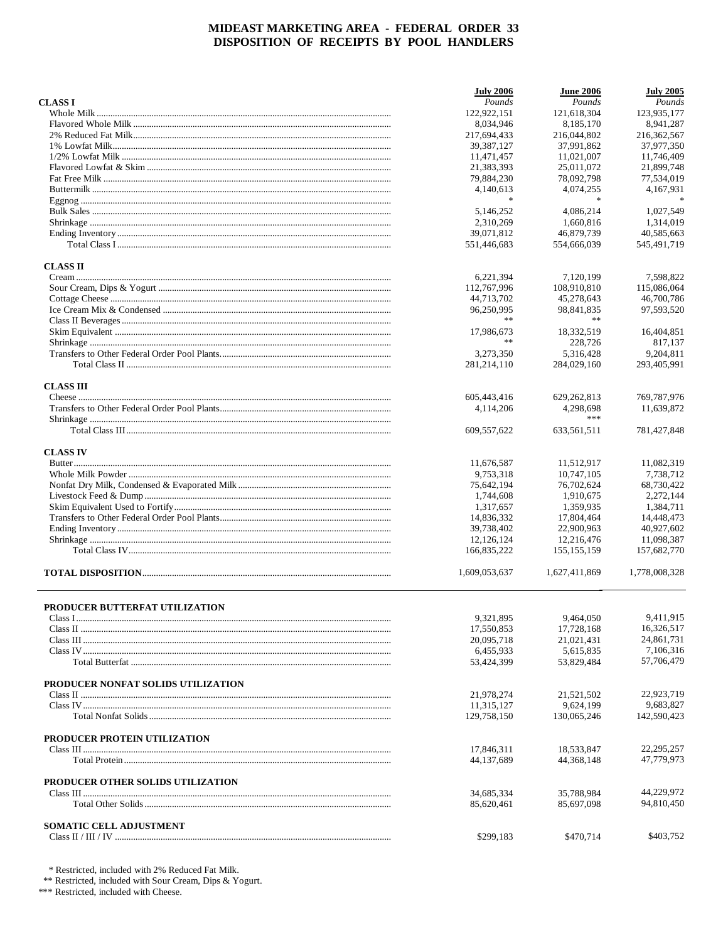|                                    | <b>July 2006</b> | <b>June 2006</b> | <b>July 2005</b> |
|------------------------------------|------------------|------------------|------------------|
| <b>CLASSI</b>                      | Pounds           | Pounds           | Pounds           |
|                                    | 122,922,151      | 121,618,304      | 123,935,177      |
|                                    | 8,034,946        | 8,185,170        | 8,941,287        |
|                                    | 217,694,433      | 216,044,802      | 216, 362, 567    |
|                                    | 39, 387, 127     | 37,991,862       | 37,977,350       |
|                                    | 11,471,457       | 11,021,007       | 11,746,409       |
|                                    | 21,383,393       | 25,011,072       | 21,899,748       |
|                                    | 79,884,230       | 78,092,798       | 77,534,019       |
|                                    | 4,140,613        | 4,074,255        | 4,167,931        |
|                                    | $\ast$           | $\ast$           |                  |
|                                    | 5,146,252        | 4,086,214        | 1,027,549        |
|                                    | 2,310,269        | 1.660.816        | 1,314,019        |
|                                    | 39,071,812       | 46,879,739       | 40,585,663       |
|                                    | 551,446,683      | 554,666,039      | 545,491,719      |
| <b>CLASS II</b>                    |                  |                  |                  |
|                                    | 6,221,394        | 7,120,199        | 7,598,822        |
|                                    | 112,767,996      | 108,910,810      | 115,086,064      |
|                                    | 44,713,702       | 45,278,643       | 46,700,786       |
|                                    | 96,250,995       | 98,841,835       | 97,593,520       |
|                                    | **               | $\ast$           |                  |
|                                    | 17,986,673       | 18,332,519       | 16.404.851       |
|                                    | **               | 228,726          | 817,137          |
|                                    | 3,273,350        | 5.316.428        | 9.204.811        |
|                                    | 281,214,110      | 284,029,160      | 293,405,991      |
| <b>CLASS III</b>                   |                  |                  |                  |
|                                    | 605,443,416      | 629, 262, 813    | 769,787,976      |
|                                    | 4,114,206        | 4,298,698<br>*** | 11,639,872       |
|                                    | 609,557,622      | 633,561,511      | 781,427,848      |
| <b>CLASS IV</b>                    |                  |                  |                  |
|                                    | 11,676,587       | 11,512,917       | 11,082,319       |
|                                    | 9,753,318        | 10,747,105       | 7,738,712        |
|                                    | 75,642,194       | 76,702,624       | 68,730,422       |
|                                    | 1,744,608        | 1,910,675        | 2,272,144        |
|                                    | 1,317,657        | 1,359,935        | 1,384,711        |
|                                    | 14,836,332       | 17,804,464       | 14,448,473       |
|                                    | 39,738,402       | 22,900,963       | 40,927,602       |
|                                    | 12,126,124       | 12,216,476       | 11,098,387       |
|                                    | 166,835,222      | 155, 155, 159    | 157,682,770      |
|                                    | 1,609,053,637    | 1,627,411,869    | 1,778,008,328    |
| PRODUCER BUTTERFAT UTILIZATION     |                  |                  |                  |
|                                    | 9,321,895        | 9,464,050        | 9,411,915        |
|                                    | 17,550,853       | 17,728,168       | 16,326,517       |
|                                    | 20,095,718       | 21,021,431       | 24,861,731       |
|                                    | 6,455,933        | 5,615,835        | 7,106,316        |
|                                    | 53,424,399       | 53,829,484       | 57,706,479       |
| PRODUCER NONFAT SOLIDS UTILIZATION |                  |                  |                  |
|                                    | 21,978,274       | 21,521,502       | 22,923,719       |
|                                    | 11,315,127       | 9,624,199        | 9.683.827        |
|                                    | 129,758,150      | 130,065,246      | 142,590,423      |
| PRODUCER PROTEIN UTILIZATION       |                  |                  |                  |
|                                    | 17,846,311       | 18,533,847       | 22, 295, 257     |
|                                    | 44,137,689       | 44, 368, 148     | 47,779,973       |
| PRODUCER OTHER SOLIDS UTILIZATION  |                  |                  |                  |
|                                    | 34,685,334       | 35,788,984       | 44,229,972       |
|                                    | 85,620,461       | 85,697,098       | 94,810,450       |
| SOMATIC CELL ADJUSTMENT            |                  |                  |                  |
|                                    | \$299,183        | \$470,714        | \$403,752        |

 $*$  Restricted, included with 2% Reduced Fat Milk.<br>  $**$  Restricted, included with Sour Cream, Dips & Yogurt.<br>  $**$  Restricted, included with Cheese.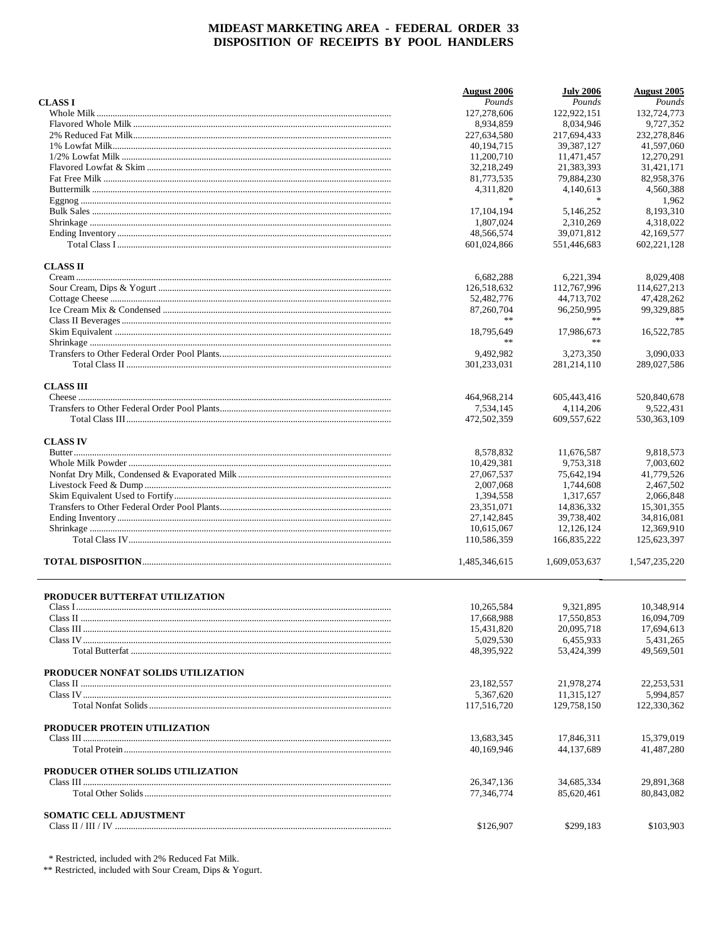|                                    | August 2006              | <b>July 2006</b>         | <b>August</b> 2005      |
|------------------------------------|--------------------------|--------------------------|-------------------------|
| <b>CLASS I</b>                     | Pounds                   | Pounds                   | Pounds                  |
|                                    | 127,278,606              | 122,922,151              | 132,724,773             |
|                                    | 8.934.859                | 8,034,946                | 9.727.352               |
|                                    | 227,634,580              | 217,694,433              | 232,278,846             |
|                                    | 40,194,715               | 39, 387, 127             | 41,597,060              |
|                                    | 11,200,710               | 11,471,457               | 12,270,291              |
|                                    | 32,218,249               | 21,383,393               | 31,421,171              |
|                                    | 81,773,535               | 79,884,230               | 82,958,376              |
|                                    | 4,311,820                | 4,140,613                | 4,560,388               |
|                                    | $\frac{1}{2}$            | $\ast$                   | 1,962                   |
|                                    | 17, 104, 194             | 5,146,252                | 8,193,310               |
|                                    | 1,807,024                | 2,310,269                | 4,318,022               |
|                                    | 48,566,574               | 39,071,812               | 42,169,577              |
|                                    | 601,024,866              | 551,446,683              | 602,221,128             |
| <b>CLASS II</b>                    |                          |                          |                         |
|                                    | 6,682,288                | 6,221,394                | 8,029,408               |
|                                    | 126,518,632              | 112,767,996              | 114,627,213             |
|                                    | 52,482,776               | 44,713,702               | 47,428,262              |
|                                    | 87,260,704               | 96,250,995               | 99,329,885              |
|                                    | **                       | **                       |                         |
|                                    | 18,795,649               | 17,986,673               | 16,522,785              |
|                                    | **                       | **                       |                         |
|                                    | 9,492,982                | 3,273,350                | 3,090,033               |
|                                    | 301,233,031              | 281, 214, 110            | 289,027,586             |
| <b>CLASS III</b>                   |                          |                          |                         |
|                                    | 464,968,214              | 605,443,416              | 520,840,678             |
|                                    | 7.534.145                | 4,114,206                | 9,522,431               |
|                                    | 472,502,359              | 609, 557, 622            | 530, 363, 109           |
| <b>CLASS IV</b>                    |                          |                          |                         |
|                                    | 8,578,832                | 11,676,587               | 9,818,573               |
|                                    | 10,429,381               | 9,753,318                | 7,003,602               |
|                                    | 27,067,537               | 75,642,194               | 41,779,526              |
|                                    | 2,007,068                | 1,744,608                | 2,467,502               |
|                                    | 1,394,558                | 1,317,657                | 2,066,848               |
|                                    | 23,351,071               | 14,836,332               | 15,301,355              |
|                                    | 27, 142, 845             | 39,738,402               | 34,816,081              |
|                                    | 10,615,067               | 12,126,124               | 12,369,910              |
|                                    | 110,586,359              | 166,835,222              | 125,623,397             |
|                                    | 1,485,346,615            | 1,609,053,637            | 1,547,235,220           |
|                                    |                          |                          |                         |
| PRODUCER BUTTERFAT UTILIZATION     | 10,265,584               | 9,321,895                | 10,348,914              |
|                                    |                          |                          |                         |
|                                    | 17,668,988<br>15,431,820 | 17,550,853<br>20,095,718 | 16,094,709              |
|                                    | 5,029,530                | 6,455,933                | 17,694,613<br>5,431,265 |
|                                    | 48,395,922               | 53,424,399               | 49,569,501              |
|                                    |                          |                          |                         |
| PRODUCER NONFAT SOLIDS UTILIZATION |                          |                          |                         |
|                                    | 23,182,557               | 21,978,274               | 22, 253, 531            |
|                                    | 5.367.620                | 11,315,127               | 5,994,857               |
|                                    | 117,516,720              | 129,758,150              | 122,330,362             |
| PRODUCER PROTEIN UTILIZATION       |                          |                          |                         |
|                                    | 13,683,345               | 17,846,311               | 15,379,019              |
|                                    | 40,169,946               | 44,137,689               | 41,487,280              |
| PRODUCER OTHER SOLIDS UTILIZATION  |                          |                          |                         |
|                                    | 26, 347, 136             | 34,685,334               | 29,891,368              |
|                                    | 77,346,774               | 85,620,461               | 80,843,082              |
| SOMATIC CELL ADJUSTMENT            |                          |                          |                         |
|                                    | \$126,907                | \$299,183                | \$103,903               |
|                                    |                          |                          |                         |

\* Restricted, included with 2% Reduced Fat Milk.

\*\* Restricted, included with Sour Cream, Dips & Yogurt.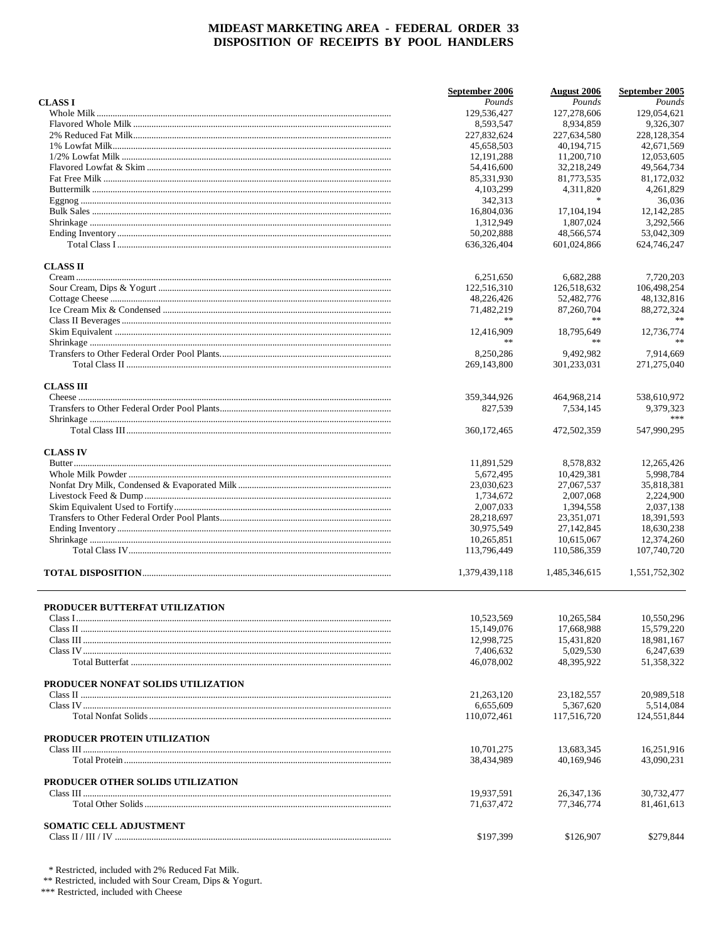|                                    | September 2006 | <b>August</b> 2006 | September 2005   |
|------------------------------------|----------------|--------------------|------------------|
| <b>CLASSI</b>                      | Pounds         | Pounds             | Pounds           |
|                                    | 129,536,427    | 127,278,606        | 129,054,621      |
|                                    | 8,593,547      | 8,934,859          | 9,326,307        |
|                                    | 227,832,624    | 227,634,580        | 228,128,354      |
|                                    | 45,658,503     | 40.194.715         | 42,671,569       |
|                                    | 12, 191, 288   | 11,200,710         | 12,053,605       |
|                                    | 54,416,600     | 32,218,249         | 49,564,734       |
|                                    | 85,331,930     | 81,773,535         | 81,172,032       |
|                                    | 4, 103, 299    | 4,311,820          | 4,261,829        |
|                                    | 342,313        | $\ast$             | 36,036           |
|                                    | 16,804,036     | 17, 104, 194       | 12,142,285       |
|                                    | 1,312,949      | 1,807,024          | 3,292,566        |
|                                    | 50,202,888     | 48,566,574         | 53,042,309       |
|                                    | 636, 326, 404  | 601,024,866        | 624,746,247      |
| <b>CLASS II</b>                    |                |                    |                  |
|                                    | 6,251,650      | 6,682,288          | 7,720,203        |
|                                    | 122,516,310    | 126,518,632        | 106,498,254      |
|                                    | 48,226,426     | 52,482,776         | 48,132,816       |
|                                    | 71,482,219     | 87,260,704         | 88,272,324       |
|                                    | **             | $\ast$ $\ast$      |                  |
|                                    | 12,416,909     | 18,795,649         | 12,736,774       |
|                                    | **             | **                 | %                |
|                                    | 8,250,286      | 9,492,982          | 7,914,669        |
|                                    | 269,143,800    | 301,233,031        | 271,275,040      |
| <b>CLASS III</b>                   |                |                    |                  |
|                                    | 359, 344, 926  | 464,968,214        | 538,610,972      |
|                                    | 827,539        | 7,534,145          | 9,379,323<br>*** |
|                                    | 360, 172, 465  | 472,502,359        | 547,990,295      |
|                                    |                |                    |                  |
| <b>CLASS IV</b>                    | 11,891,529     | 8,578,832          | 12,265,426       |
|                                    | 5,672,495      | 10,429,381         | 5,998,784        |
|                                    | 23,030,623     | 27,067,537         | 35,818,381       |
|                                    | 1,734,672      | 2,007,068          | 2,224,900        |
|                                    | 2,007,033      | 1,394,558          | 2,037,138        |
|                                    | 28,218,697     | 23,351,071         | 18,391,593       |
|                                    | 30,975,549     | 27, 142, 845       | 18,630,238       |
|                                    | 10,265,851     | 10,615,067         | 12,374,260       |
|                                    | 113,796,449    | 110,586,359        | 107,740,720      |
|                                    | 1,379,439,118  | 1,485,346,615      | 1,551,752,302    |
|                                    |                |                    |                  |
| PRODUCER BUTTERFAT UTILIZATION     |                |                    |                  |
|                                    | 10,523,569     | 10,265,584         | 10,550,296       |
|                                    | 15,149,076     | 17,668,988         | 15.579.220       |
|                                    | 12,998,725     | 15,431,820         | 18,981,167       |
|                                    | 7.406.632      | 5.029.530          | 6,247,639        |
|                                    | 46,078,002     | 48,395,922         | 51,358,322       |
| PRODUCER NONFAT SOLIDS UTILIZATION |                |                    |                  |
|                                    | 21,263,120     | 23, 182, 557       | 20,989,518       |
|                                    | 6,655,609      | 5,367,620          | 5,514,084        |
|                                    | 110,072,461    | 117.516.720        | 124,551,844      |
| PRODUCER PROTEIN UTILIZATION       |                |                    |                  |
|                                    | 10,701,275     | 13,683,345         | 16,251,916       |
|                                    | 38,434,989     | 40.169.946         | 43.090.231       |
| PRODUCER OTHER SOLIDS UTILIZATION  |                |                    |                  |
|                                    | 19,937,591     | 26, 347, 136       | 30,732,477       |
|                                    | 71,637,472     | 77,346,774         | 81,461,613       |
| SOMATIC CELL ADJUSTMENT            |                |                    |                  |
|                                    | \$197,399      | \$126,907          | \$279,844        |
|                                    |                |                    |                  |

 $*$  Restricted, included with 2% Reduced Fat Milk.<br>  $**$  Restricted, included with Sour Cream, Dips & Yogurt.<br>  $***$  Restricted, included with Cheese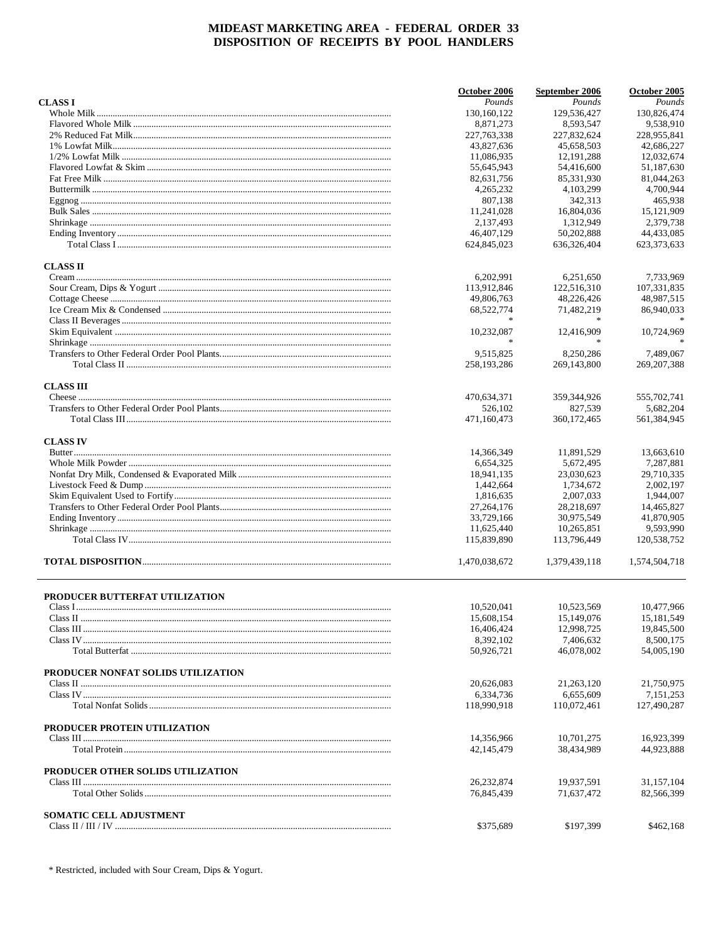|                                    | October 2006             | September 2006           | October 2005             |
|------------------------------------|--------------------------|--------------------------|--------------------------|
| <b>CLASS I</b>                     | Pounds                   | Pounds                   | Pounds                   |
|                                    | 130,160,122              | 129,536,427              | 130,826,474              |
|                                    | 8,871,273                | 8,593,547                | 9,538,910                |
|                                    | 227, 763, 338            | 227,832,624              | 228,955,841              |
|                                    | 43,827,636               | 45,658,503               | 42,686,227               |
|                                    | 11,086,935               | 12, 191, 288             | 12,032,674               |
|                                    | 55,645,943               | 54,416,600               | 51,187,630               |
|                                    | 82,631,756               | 85,331,930               | 81,044,263               |
|                                    | 4,265,232                | 4, 103, 299              | 4,700,944                |
|                                    | 807,138                  | 342,313                  | 465,938                  |
|                                    | 11,241,028               | 16,804,036               | 15,121,909               |
|                                    | 2,137,493                | 1,312,949                | 2,379,738                |
|                                    | 46,407,129               | 50,202,888               | 44,433,085               |
|                                    | 624,845,023              | 636,326,404              | 623, 373, 633            |
| <b>CLASS II</b>                    |                          |                          |                          |
|                                    | 6,202,991                | 6,251,650                | 7,733,969                |
|                                    | 113,912,846              | 122,516,310              | 107,331,835              |
|                                    | 49,806,763               | 48,226,426               | 48,987,515               |
|                                    | 68,522,774               | 71,482,219               | 86,940,033               |
|                                    |                          |                          |                          |
|                                    | 10,232,087               | 12,416,909               | 10,724,969               |
|                                    | $\frac{1}{2}$            |                          |                          |
|                                    | 9,515,825                | 8,250,286                | 7.489.067                |
|                                    | 258,193,286              | 269,143,800              | 269, 207, 388            |
| <b>CLASS III</b>                   |                          |                          |                          |
|                                    | 470,634,371              | 359,344,926              | 555,702,741              |
|                                    | 526,102                  | 827.539                  | 5,682,204                |
|                                    | 471,160,473              | 360, 172, 465            | 561,384,945              |
| <b>CLASS IV</b>                    |                          |                          |                          |
|                                    | 14,366,349               | 11,891,529               | 13,663,610               |
|                                    | 6,654,325                | 5,672,495                | 7,287,881                |
|                                    | 18,941,135               | 23,030,623               | 29,710,335               |
|                                    | 1,442,664                | 1,734,672                | 2,002,197                |
|                                    | 1,816,635                | 2,007,033                | 1,944,007                |
|                                    | 27, 264, 176             | 28,218,697               | 14,465,827               |
|                                    | 33,729,166               | 30,975,549               | 41,870,905               |
|                                    | 11,625,440               | 10,265,851               | 9,593,990                |
|                                    | 115,839,890              | 113,796,449              | 120,538,752              |
|                                    | 1,470,038,672            | 1,379,439,118            | 1.574.504.718            |
|                                    |                          |                          |                          |
| PRODUCER BUTTERFAT UTILIZATION     |                          |                          |                          |
|                                    | 10,520,041               | 10,523,569               | 10,477,966               |
|                                    | 15,608,154               | 15, 149, 076             | 15, 181, 549             |
|                                    | 16,406,424               | 12,998,725               | 19,845,500               |
|                                    | 8,392,102<br>50,926,721  | 7,406,632<br>46.078.002  | 8,500,175<br>54,005,190  |
|                                    |                          |                          |                          |
| PRODUCER NONFAT SOLIDS UTILIZATION |                          |                          |                          |
|                                    | 20,626,083               | 21,263,120               | 21,750,975               |
|                                    | 6,334,736                | 6,655,609                | 7,151,253                |
|                                    | 118,990,918              | 110,072,461              | 127,490,287              |
| PRODUCER PROTEIN UTILIZATION       |                          |                          |                          |
|                                    | 14,356,966<br>42,145,479 | 10,701,275<br>38,434,989 | 16,923,399<br>44,923,888 |
| PRODUCER OTHER SOLIDS UTILIZATION  |                          |                          |                          |
|                                    | 26, 232, 874             | 19,937,591               | 31,157,104               |
|                                    | 76,845,439               | 71,637,472               | 82,566,399               |
| SOMATIC CELL ADJUSTMENT            |                          |                          |                          |
|                                    | \$375,689                | \$197,399                | \$462,168                |
|                                    |                          |                          |                          |

\* Restricted, included with Sour Cream, Dips & Yogurt.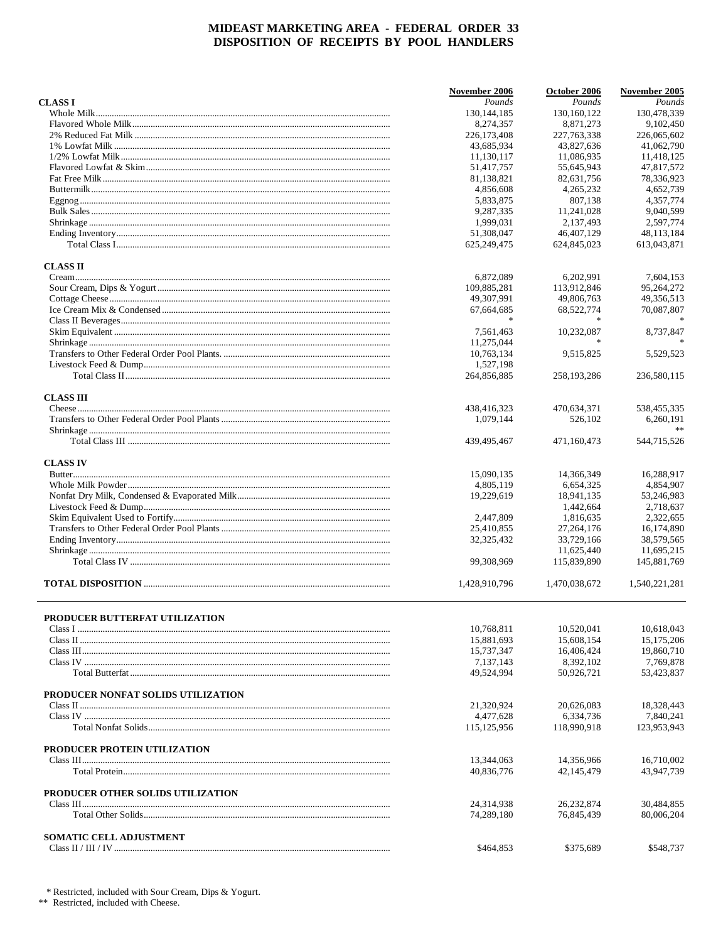|                                    | November 2006 | October 2006  | November 2005    |
|------------------------------------|---------------|---------------|------------------|
| <b>CLASS I</b>                     | Pounds        | Pounds        | Pounds           |
|                                    | 130, 144, 185 | 130, 160, 122 | 130,478,339      |
|                                    | 8,274,357     | 8,871,273     | 9,102,450        |
|                                    | 226,173,408   | 227, 763, 338 | 226,065,602      |
|                                    | 43,685,934    | 43,827,636    | 41,062,790       |
|                                    | 11,130,117    | 11,086,935    | 11,418,125       |
|                                    | 51,417,757    | 55,645,943    | 47,817,572       |
|                                    | 81,138,821    | 82,631,756    | 78,336,923       |
|                                    | 4,856,608     | 4,265,232     | 4,652,739        |
|                                    | 5,833,875     | 807,138       | 4,357,774        |
|                                    | 9,287,335     | 11,241,028    | 9,040,599        |
|                                    | 1,999,031     | 2,137,493     | 2,597,774        |
|                                    | 51,308,047    | 46,407,129    | 48,113,184       |
|                                    | 625, 249, 475 | 624,845,023   | 613,043,871      |
| <b>CLASS II</b>                    |               |               |                  |
|                                    | 6,872,089     | 6,202,991     | 7,604,153        |
|                                    | 109,885,281   | 113,912,846   | 95,264,272       |
|                                    | 49,307,991    | 49,806,763    | 49,356,513       |
|                                    | 67,664,685    | 68,522,774    | 70,087,807       |
|                                    |               |               |                  |
|                                    | 7,561,463     | 10,232,087    | 8,737,847        |
|                                    | 11,275,044    |               |                  |
|                                    | 10,763,134    | 9,515,825     | 5,529,523        |
|                                    | 1,527,198     |               |                  |
|                                    | 264,856,885   |               |                  |
|                                    |               | 258, 193, 286 | 236,580,115      |
| <b>CLASS III</b>                   |               |               |                  |
|                                    | 438,416,323   | 470,634,371   | 538,455,335      |
|                                    | 1,079,144     | 526,102       | 6,260,191        |
|                                    | 439, 495, 467 | 471,160,473   | %<br>544,715,526 |
|                                    |               |               |                  |
| <b>CLASS IV</b>                    |               |               |                  |
|                                    | 15,090,135    | 14,366,349    | 16,288,917       |
|                                    | 4,805,119     | 6,654,325     | 4,854,907        |
|                                    | 19,229,619    | 18,941,135    | 53,246,983       |
|                                    |               | 1,442,664     | 2,718,637        |
|                                    | 2,447,809     | 1,816,635     | 2,322,655        |
|                                    | 25,410,855    | 27, 264, 176  | 16,174,890       |
|                                    | 32, 325, 432  | 33,729,166    | 38,579,565       |
|                                    |               | 11,625,440    | 11,695,215       |
|                                    | 99,308,969    | 115,839,890   | 145,881,769      |
|                                    | 1,428,910,796 | 1,470,038,672 | 1,540,221,281    |
|                                    |               |               |                  |
| PRODUCER BUTTERFAT UTILIZATION     |               |               |                  |
|                                    | 10,768,811    | 10,520,041    | 10.618.043       |
|                                    | 15,881,693    | 15,608,154    | 15, 175, 206     |
|                                    | 15,737,347    | 16,406,424    | 19,860,710       |
|                                    | 7,137,143     | 8,392,102     | 7,769,878        |
|                                    | 49,524,994    | 50,926,721    | 53,423,837       |
| PRODUCER NONFAT SOLIDS UTILIZATION |               |               |                  |
|                                    | 21,320,924    | 20,626,083    | 18,328,443       |
|                                    | 4,477,628     | 6.334.736     | 7,840,241        |
|                                    | 115,125,956   | 118,990,918   | 123,953,943      |
| PRODUCER PROTEIN UTILIZATION       |               |               |                  |
|                                    | 13,344,063    | 14,356,966    | 16,710,002       |
|                                    | 40,836,776    | 42,145,479    | 43,947,739       |
| PRODUCER OTHER SOLIDS UTILIZATION  |               |               |                  |
|                                    | 24,314,938    | 26,232,874    | 30,484,855       |
|                                    | 74,289,180    | 76,845,439    | 80,006,204       |
| SOMATIC CELL ADJUSTMENT            |               |               |                  |
|                                    | \$464,853     | \$375,689     | \$548,737        |
|                                    |               |               |                  |

 $^{\ast}$  Restricted, included with Sour Cream, Dips & Yogurt.  $^{**}$  Restricted, included with Cheese.